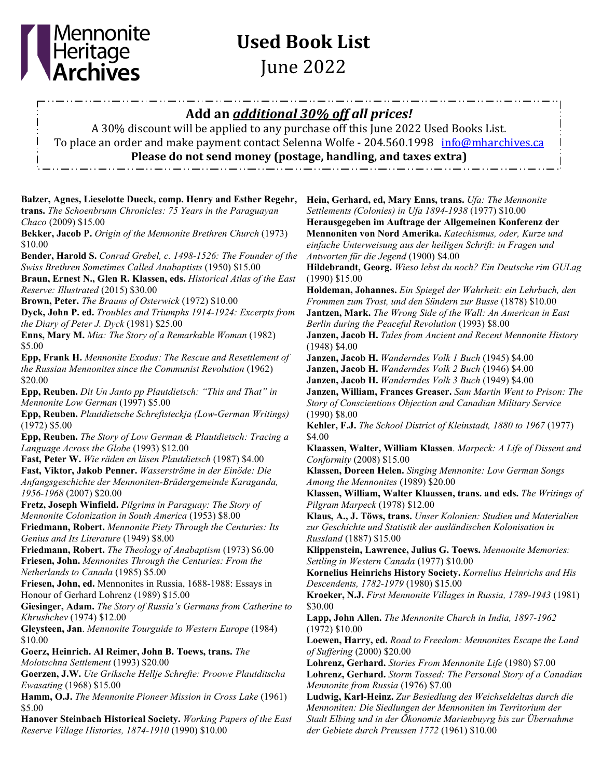

## **Used Book List** June 2022

**Balzer, Agnes, Lieselotte Dueck, comp. Henry and Esther Regehr, trans.** *The Schoenbrunn Chronicles: 75 Years in the Paraguayan Chaco* (2009) \$15.00 **Bekker, Jacob P.** *Origin of the Mennonite Brethren Church* (1973) \$10.00 **Bender, Harold S.** *Conrad Grebel, c. 1498-1526: The Founder of the Swiss Brethren Sometimes Called Anabaptists* (1950) \$15.00 **Braun, Ernest N., Glen R. Klassen, eds.** *Historical Atlas of the East Reserve: Illustrated* (2015) \$30.00 **Brown, Peter.** *The Brauns of Osterwick* (1972) \$10.00 **Dyck, John P. ed.** *Troubles and Triumphs 1914-1924: Excerpts from the Diary of Peter J. Dyck* (1981) \$25.00 **Enns, Mary M.** *Mia: The Story of a Remarkable Woman* (1982) \$5.00 **Epp, Frank H.** *Mennonite Exodus: The Rescue and Resettlement of the Russian Mennonites since the Communist Revolution* (1962) \$20.00 **Epp, Reuben.** *Dit Un Janto pp Plautdietsch: "This and That" in Mennonite Low German* (1997) \$5.00 **Epp, Reuben.** *Plautdietsche Schreftsteckja (Low-German Writings)* (1972) \$5.00 **Epp, Reuben.** *The Story of Low German & Plautdietsch: Tracing a Language Across the Globe* (1993) \$12.00 **Fast, Peter W.** *Wie räden en läsen Plautdietsch* (1987) \$4.00 **Fast, Viktor, Jakob Penner.** *Wasserströme in der Einöde: Die Anfangsgeschichte der Mennoniten-Brüdergemeinde Karaganda, 1956-1968* (2007) \$20.00 **Fretz, Joseph Winfield.** *Pilgrims in Paraguay: The Story of Mennonite Colonization in South America* (1953) \$8.00 **Friedmann, Robert.** *Mennonite Piety Through the Centuries: Its Genius and Its Literature* (1949) \$8.00 **Friedmann, Robert.** *The Theology of Anabaptism* (1973) \$6.00 **Friesen, John.** *Mennonites Through the Centuries: From the Netherlands to Canada* (1985) \$5.00 **Friesen, John, ed.** Mennonites in Russia, 1688-1988: Essays in Honour of Gerhard Lohrenz (1989) \$15.00 **Giesinger, Adam.** *The Story of Russia's Germans from Catherine to Khrushchev* (1974) \$12.00 **Gleysteen, Jan**. *Mennonite Tourguide to Western Europe* (1984) \$10.00 **Goerz, Heinrich. Al Reimer, John B. Toews, trans.** *The Molotschna Settlement* (1993) \$20.00 **Goerzen, J.W.** *Ute Griksche Hellje Schrefte: Proowe Plautditscha Ewasating* (1968) \$15.00 **Hamm, O.J.** *The Mennonite Pioneer Mission in Cross Lake* (1961) \$5.00 **Hanover Steinbach Historical Society.** *Working Papers of the East Reserve Village Histories, 1874-1910* (1990) \$10.00 **Hein, Gerhard, ed, Mary Enns, trans.** *Ufa: The Mennonite Settlements (Colonies) in Ufa 1894-1938* (1977) \$10.00 **Herausgegeben im Auftrage der Allgemeinen Konferenz der Mennoniten von Nord Amerika.** *Katechismus, oder, Kurze und einfache Unterweisung aus der heiligen Schrift: in Fragen und Antworten für die Jegend* (1900) \$4.00 **Hildebrandt, Georg.** *Wieso lebst du noch? Ein Deutsche rim GULag*  (1990) \$15.00 **Holdeman, Johannes.** *Ein Spiegel der Wahrheit: ein Lehrbuch, den Frommen zum Trost, und den Sündern zur Busse* (1878) \$10.00 **Jantzen, Mark.** *The Wrong Side of the Wall: An American in East Berlin during the Peaceful Revolution* (1993) \$8.00 **Janzen, Jacob H.** *Tales from Ancient and Recent Mennonite History*  (1948) \$4.00 **Janzen, Jacob H.** *Wanderndes Volk 1 Buch* (1945) \$4.00 **Janzen, Jacob H.** *Wanderndes Volk 2 Buch* (1946) \$4.00 **Janzen, Jacob H.** *Wanderndes Volk 3 Buch* (1949) \$4.00 **Janzen, William, Frances Greaser.** *Sam Martin Went to Prison: The Story of Conscientious Objection and Canadian Military Service*  (1990) \$8.00 **Kehler, F.J.** *The School District of Kleinstadt, 1880 to 1967* (1977) \$4.00 **Klaassen, Walter, William Klassen**. *Marpeck: A Life of Dissent and Conformity* (2008) \$15.00 **Klassen, Doreen Helen.** *Singing Mennonite: Low German Songs Among the Mennonites* (1989) \$20.00 **Klassen, William, Walter Klaassen, trans. and eds.** *The Writings of Pilgram Marpeck* (1978) \$12.00 **Klaus, A., J. Töws, trans.** *Unser Kolonien: Studien und Materialien zur Geschichte und Statistik der ausländischen Kolonisation in Russland* (1887) \$15.00 **Klippenstein, Lawrence, Julius G. Toews.** *Mennonite Memories: Settling in Western Canada* (1977) \$10.00 **Kornelius Heinrichs History Society.** *Kornelius Heinrichs and His Descendents, 1782-1979* (1980) \$15.00 **Kroeker, N.J.** *First Mennonite Villages in Russia, 1789-1943* (1981) \$30.00 **Lapp, John Allen.** *The Mennonite Church in India, 1897-1962* (1972) \$10.00 **Loewen, Harry, ed.** *Road to Freedom: Mennonites Escape the Land of Suffering* (2000) \$20.00 **Lohrenz, Gerhard.** *Stories From Mennonite Life* (1980) \$7.00 **Lohrenz, Gerhard.** *Storm Tossed: The Personal Story of a Canadian Mennonite from Russia* (1976) \$7.00 **Ludwig, Karl-Heinz.** *Zur Besiedlung des Weichseldeltas durch die Mennoniten: Die Siedlungen der Mennoniten im Territorium der Stadt Elbing und in der Ökonomie Marienbuyrg bis zur Übernahme der Gebiete durch Preussen 1772* (1961) \$10.00 **Add an** *additional 30% off all prices!* A 30% discount will be applied to any purchase off this June 2022 Used Books List. To place an order and make payment contact Selenna Wolfe - 204.560.1998 [info@mharchives.ca](mailto:info@mharchives.ca) **Please do not send money (postage, handling, and taxes extra)**